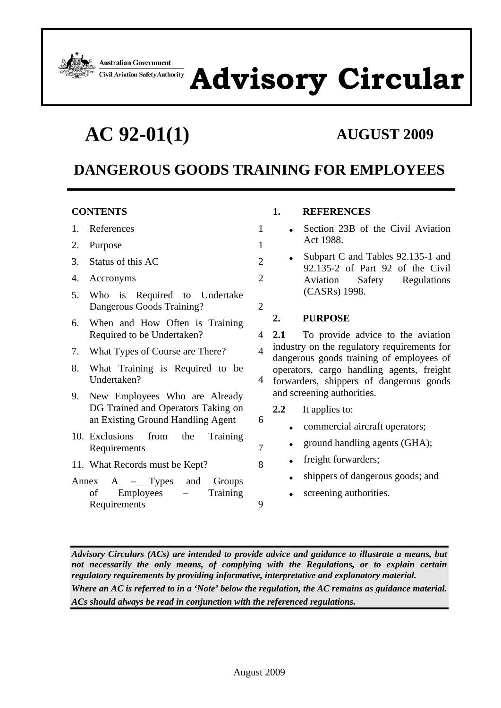**Australian Government Civil Aviation Safety Authority** 



**AC 92-01(1) AUGUST 2009**

# **DANGEROUS GOODS TRAINING FOR EMPLOYEES**

#### **CONTENTS**

- 1. References 1
- 2. Purpose 1
- 3. Status of this AC 2
- 4. Accronyms 2
- 5. Who is Required to Undertake Dangerous Goods Training? 2
- 6. When and How Often is Training Required to be Undertaken? 4
- 7. What Types of Course are There? 4
- 8. What Training is Required to be Undertaken? 4
- 9. New Employees Who are Already DG Trained and Operators Taking on an Existing Ground Handling Agent 6
- 10. Exclusions from the Training Requirements 7
- 11. What Records must be Kept? 8
- Annex  $A Types$  and Groups of Employees – Training Requirements 9

#### **1. REFERENCES**

- Section 23B of the Civil Aviation Act 1988.
- Subpart C and Tables 92.135-1 and 92.135-2 of Part 92 of the Civil Aviation Safety Regulations (CASRs) 1998.

### **2. PURPOSE**

- **2.1** To provide advice to the aviation industry on the regulatory requirements for dangerous goods training of employees of operators, cargo handling agents, freight forwarders, shippers of dangerous goods and screening authorities.
	- **2.2** It applies to:
		- commercial aircraft operators;
		- ground handling agents (GHA);
	- freight forwarders;
		- shippers of dangerous goods; and
		- screening authorities.

*Advisory Circulars (ACs) are intended to provide advice and guidance to illustrate a means, but not necessarily the only means, of complying with the Regulations, or to explain certain regulatory requirements by providing informative, interpretative and explanatory material. Where an AC is referred to in a 'Note' below the regulation, the AC remains as guidance material. ACs should always be read in conjunction with the referenced regulations.*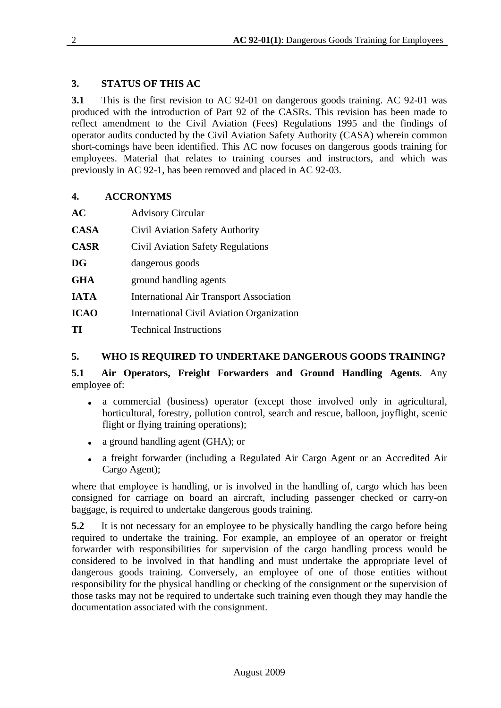# **3. STATUS OF THIS AC**

**3.1** This is the first revision to AC 92-01 on dangerous goods training. AC 92-01 was produced with the introduction of Part 92 of the CASRs. This revision has been made to reflect amendment to the Civil Aviation (Fees) Regulations 1995 and the findings of operator audits conducted by the Civil Aviation Safety Authority (CASA) wherein common short-comings have been identified. This AC now focuses on dangerous goods training for employees. Material that relates to training courses and instructors, and which was previously in AC 92-1, has been removed and placed in AC 92-03.

# **4. ACCRONYMS**

| AC          | <b>Advisory Circular</b>                       |
|-------------|------------------------------------------------|
| <b>CASA</b> | Civil Aviation Safety Authority                |
| <b>CASR</b> | Civil Aviation Safety Regulations              |
| <b>DG</b>   | dangerous goods                                |
| <b>GHA</b>  | ground handling agents                         |
| <b>IATA</b> | <b>International Air Transport Association</b> |
| <b>ICAO</b> | International Civil Aviation Organization      |
| TІ          | <b>Technical Instructions</b>                  |

# **5. WHO IS REQUIRED TO UNDERTAKE DANGEROUS GOODS TRAINING?**

**5.1 Air Operators, Freight Forwarders and Ground Handling Agents**. Any employee of:

- a commercial (business) operator (except those involved only in agricultural, horticultural, forestry, pollution control, search and rescue, balloon, joyflight, scenic flight or flying training operations);
- a ground handling agent (GHA); or
- a freight forwarder (including a Regulated Air Cargo Agent or an Accredited Air Cargo Agent);

where that employee is handling, or is involved in the handling of, cargo which has been consigned for carriage on board an aircraft, including passenger checked or carry-on baggage, is required to undertake dangerous goods training.

**5.2** It is not necessary for an employee to be physically handling the cargo before being required to undertake the training. For example, an employee of an operator or freight forwarder with responsibilities for supervision of the cargo handling process would be considered to be involved in that handling and must undertake the appropriate level of dangerous goods training. Conversely, an employee of one of those entities without responsibility for the physical handling or checking of the consignment or the supervision of those tasks may not be required to undertake such training even though they may handle the documentation associated with the consignment.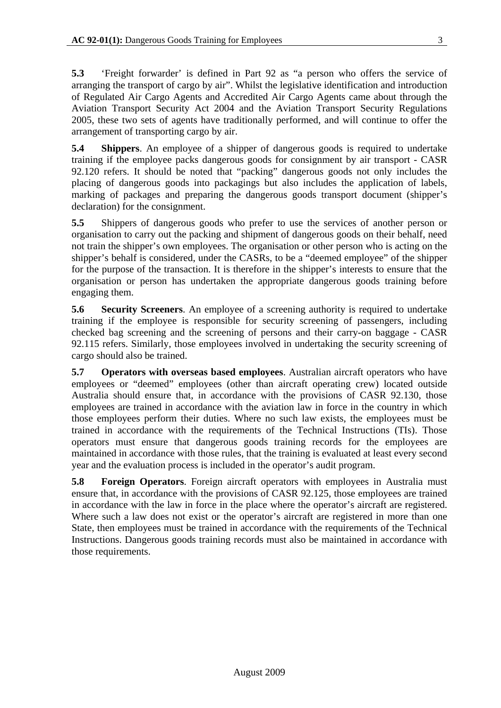**5.3** 'Freight forwarder' is defined in Part 92 as "a person who offers the service of arranging the transport of cargo by air". Whilst the legislative identification and introduction of Regulated Air Cargo Agents and Accredited Air Cargo Agents came about through the Aviation Transport Security Act 2004 and the Aviation Transport Security Regulations 2005, these two sets of agents have traditionally performed, and will continue to offer the arrangement of transporting cargo by air.

**5.4 Shippers**. An employee of a shipper of dangerous goods is required to undertake training if the employee packs dangerous goods for consignment by air transport - CASR 92.120 refers. It should be noted that "packing" dangerous goods not only includes the placing of dangerous goods into packagings but also includes the application of labels, marking of packages and preparing the dangerous goods transport document (shipper's declaration) for the consignment.

**5.5** Shippers of dangerous goods who prefer to use the services of another person or organisation to carry out the packing and shipment of dangerous goods on their behalf, need not train the shipper's own employees. The organisation or other person who is acting on the shipper's behalf is considered, under the CASRs, to be a "deemed employee" of the shipper for the purpose of the transaction. It is therefore in the shipper's interests to ensure that the organisation or person has undertaken the appropriate dangerous goods training before engaging them.

**5.6 Security Screeners**. An employee of a screening authority is required to undertake training if the employee is responsible for security screening of passengers, including checked bag screening and the screening of persons and their carry-on baggage - CASR 92.115 refers. Similarly, those employees involved in undertaking the security screening of cargo should also be trained.

**5.7 Operators with overseas based employees**. Australian aircraft operators who have employees or "deemed" employees (other than aircraft operating crew) located outside Australia should ensure that, in accordance with the provisions of CASR 92.130, those employees are trained in accordance with the aviation law in force in the country in which those employees perform their duties. Where no such law exists, the employees must be trained in accordance with the requirements of the Technical Instructions (TIs). Those operators must ensure that dangerous goods training records for the employees are maintained in accordance with those rules, that the training is evaluated at least every second year and the evaluation process is included in the operator's audit program.

**5.8 Foreign Operators**. Foreign aircraft operators with employees in Australia must ensure that, in accordance with the provisions of CASR 92.125, those employees are trained in accordance with the law in force in the place where the operator's aircraft are registered. Where such a law does not exist or the operator's aircraft are registered in more than one State, then employees must be trained in accordance with the requirements of the Technical Instructions. Dangerous goods training records must also be maintained in accordance with those requirements.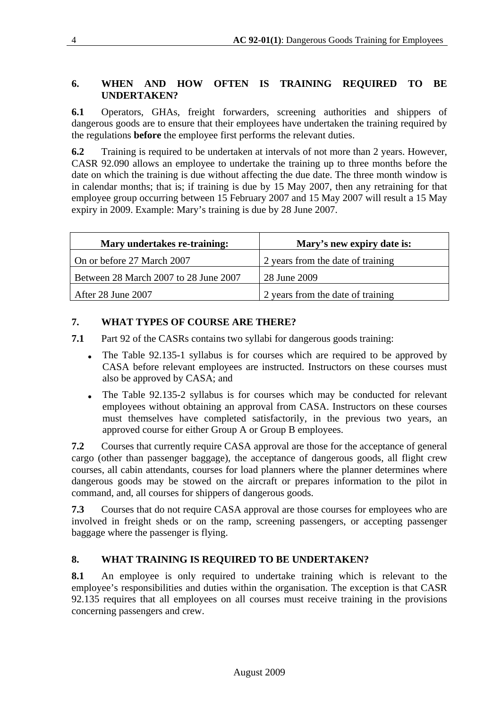# **6. WHEN AND HOW OFTEN IS TRAINING REQUIRED TO BE UNDERTAKEN?**

**6.1** Operators, GHAs, freight forwarders, screening authorities and shippers of dangerous goods are to ensure that their employees have undertaken the training required by the regulations **before** the employee first performs the relevant duties.

**6.2** Training is required to be undertaken at intervals of not more than 2 years. However, CASR 92.090 allows an employee to undertake the training up to three months before the date on which the training is due without affecting the due date. The three month window is in calendar months; that is; if training is due by 15 May 2007, then any retraining for that employee group occurring between 15 February 2007 and 15 May 2007 will result a 15 May expiry in 2009. Example: Mary's training is due by 28 June 2007.

| Mary undertakes re-training:          | Mary's new expiry date is:        |  |  |  |  |  |
|---------------------------------------|-----------------------------------|--|--|--|--|--|
| On or before 27 March 2007            | 2 years from the date of training |  |  |  |  |  |
| Between 28 March 2007 to 28 June 2007 | 28 June 2009                      |  |  |  |  |  |
| After 28 June 2007                    | 2 years from the date of training |  |  |  |  |  |

# **7. WHAT TYPES OF COURSE ARE THERE?**

**7.1** Part 92 of the CASRs contains two syllabi for dangerous goods training:

- The Table 92.135-1 syllabus is for courses which are required to be approved by CASA before relevant employees are instructed. Instructors on these courses must also be approved by CASA; and
- The Table 92.135-2 syllabus is for courses which may be conducted for relevant employees without obtaining an approval from CASA. Instructors on these courses must themselves have completed satisfactorily, in the previous two years, an approved course for either Group A or Group B employees.

**7.2** Courses that currently require CASA approval are those for the acceptance of general cargo (other than passenger baggage), the acceptance of dangerous goods, all flight crew courses, all cabin attendants, courses for load planners where the planner determines where dangerous goods may be stowed on the aircraft or prepares information to the pilot in command, and, all courses for shippers of dangerous goods.

**7.3** Courses that do not require CASA approval are those courses for employees who are involved in freight sheds or on the ramp, screening passengers, or accepting passenger baggage where the passenger is flying.

# **8. WHAT TRAINING IS REQUIRED TO BE UNDERTAKEN?**

**8.1** An employee is only required to undertake training which is relevant to the employee's responsibilities and duties within the organisation. The exception is that CASR 92.135 requires that all employees on all courses must receive training in the provisions concerning passengers and crew.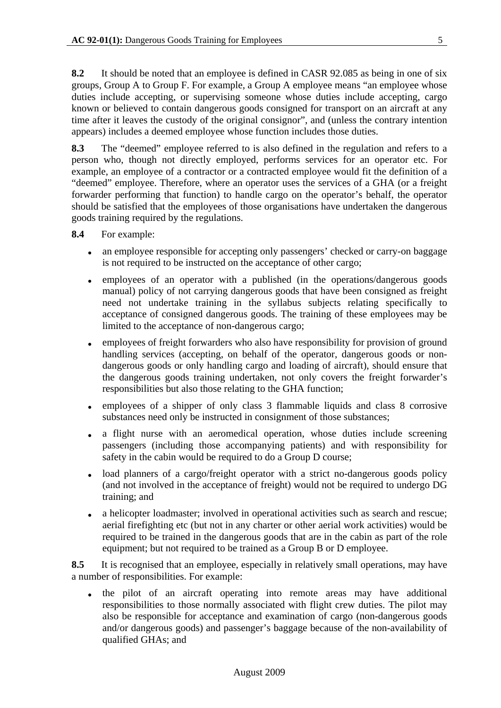**8.2** It should be noted that an employee is defined in CASR 92.085 as being in one of six groups, Group A to Group F. For example, a Group A employee means "an employee whose duties include accepting, or supervising someone whose duties include accepting, cargo known or believed to contain dangerous goods consigned for transport on an aircraft at any time after it leaves the custody of the original consignor", and (unless the contrary intention appears) includes a deemed employee whose function includes those duties.

**8.3** The "deemed" employee referred to is also defined in the regulation and refers to a person who, though not directly employed, performs services for an operator etc. For example, an employee of a contractor or a contracted employee would fit the definition of a "deemed" employee. Therefore, where an operator uses the services of a GHA (or a freight forwarder performing that function) to handle cargo on the operator's behalf, the operator should be satisfied that the employees of those organisations have undertaken the dangerous goods training required by the regulations.

- **8.4** For example:
	- an employee responsible for accepting only passengers' checked or carry-on baggage is not required to be instructed on the acceptance of other cargo;
	- employees of an operator with a published (in the operations/dangerous goods manual) policy of not carrying dangerous goods that have been consigned as freight need not undertake training in the syllabus subjects relating specifically to acceptance of consigned dangerous goods. The training of these employees may be limited to the acceptance of non-dangerous cargo;
	- employees of freight forwarders who also have responsibility for provision of ground handling services (accepting, on behalf of the operator, dangerous goods or nondangerous goods or only handling cargo and loading of aircraft), should ensure that the dangerous goods training undertaken, not only covers the freight forwarder's responsibilities but also those relating to the GHA function;
	- employees of a shipper of only class 3 flammable liquids and class 8 corrosive substances need only be instructed in consignment of those substances;
	- a flight nurse with an aeromedical operation, whose duties include screening passengers (including those accompanying patients) and with responsibility for safety in the cabin would be required to do a Group D course;
	- load planners of a cargo/freight operator with a strict no-dangerous goods policy (and not involved in the acceptance of freight) would not be required to undergo DG training; and
	- a helicopter loadmaster; involved in operational activities such as search and rescue; aerial firefighting etc (but not in any charter or other aerial work activities) would be required to be trained in the dangerous goods that are in the cabin as part of the role equipment; but not required to be trained as a Group B or D employee.

**8.5** It is recognised that an employee, especially in relatively small operations, may have a number of responsibilities. For example:

 the pilot of an aircraft operating into remote areas may have additional responsibilities to those normally associated with flight crew duties. The pilot may also be responsible for acceptance and examination of cargo (non-dangerous goods and/or dangerous goods) and passenger's baggage because of the non-availability of qualified GHAs; and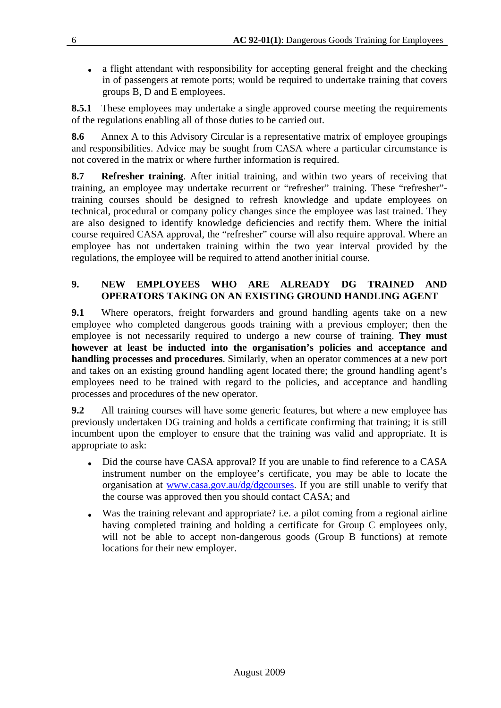• a flight attendant with responsibility for accepting general freight and the checking in of passengers at remote ports; would be required to undertake training that covers groups B, D and E employees.

**8.5.1** These employees may undertake a single approved course meeting the requirements of the regulations enabling all of those duties to be carried out.

**8.6** Annex A to this Advisory Circular is a representative matrix of employee groupings and responsibilities. Advice may be sought from CASA where a particular circumstance is not covered in the matrix or where further information is required.

**8.7 Refresher training**. After initial training, and within two years of receiving that training, an employee may undertake recurrent or "refresher" training. These "refresher" training courses should be designed to refresh knowledge and update employees on technical, procedural or company policy changes since the employee was last trained. They are also designed to identify knowledge deficiencies and rectify them. Where the initial course required CASA approval, the "refresher" course will also require approval. Where an employee has not undertaken training within the two year interval provided by the regulations, the employee will be required to attend another initial course.

### **9. NEW EMPLOYEES WHO ARE ALREADY DG TRAINED AND OPERATORS TAKING ON AN EXISTING GROUND HANDLING AGENT**

**9.1** Where operators, freight forwarders and ground handling agents take on a new employee who completed dangerous goods training with a previous employer; then the employee is not necessarily required to undergo a new course of training. **They must however at least be inducted into the organisation's policies and acceptance and handling processes and procedures**. Similarly, when an operator commences at a new port and takes on an existing ground handling agent located there; the ground handling agent's employees need to be trained with regard to the policies, and acceptance and handling processes and procedures of the new operator.

**9.2** All training courses will have some generic features, but where a new employee has previously undertaken DG training and holds a certificate confirming that training; it is still incumbent upon the employer to ensure that the training was valid and appropriate. It is appropriate to ask:

- Did the course have CASA approval? If you are unable to find reference to a CASA instrument number on the employee's certificate, you may be able to locate the organisation at www.casa.gov.au/dg/dgcourses. If you are still unable to verify that the course was approved then you should contact CASA; and
- Was the training relevant and appropriate? i.e. a pilot coming from a regional airline having completed training and holding a certificate for Group C employees only, will not be able to accept non-dangerous goods (Group B functions) at remote locations for their new employer.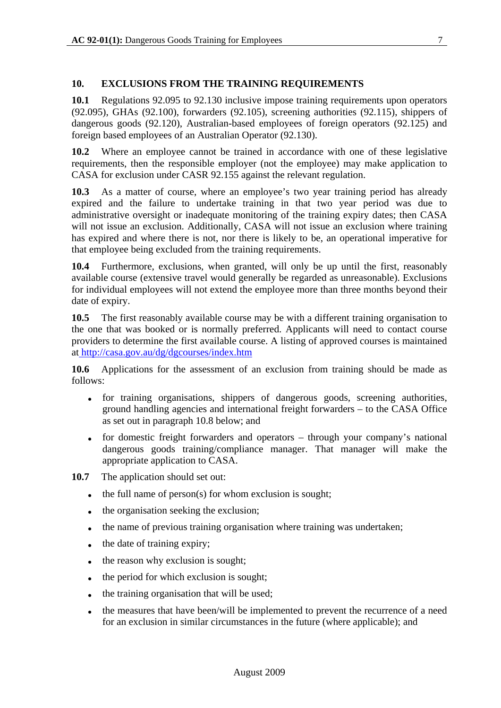### **10. EXCLUSIONS FROM THE TRAINING REQUIREMENTS**

**10.1** Regulations 92.095 to 92.130 inclusive impose training requirements upon operators (92.095), GHAs (92.100), forwarders (92.105), screening authorities (92.115), shippers of dangerous goods (92.120), Australian-based employees of foreign operators (92.125) and foreign based employees of an Australian Operator (92.130).

**10.2** Where an employee cannot be trained in accordance with one of these legislative requirements, then the responsible employer (not the employee) may make application to CASA for exclusion under CASR 92.155 against the relevant regulation.

**10.3** As a matter of course, where an employee's two year training period has already expired and the failure to undertake training in that two year period was due to administrative oversight or inadequate monitoring of the training expiry dates; then CASA will not issue an exclusion. Additionally, CASA will not issue an exclusion where training has expired and where there is not, nor there is likely to be, an operational imperative for that employee being excluded from the training requirements.

**10.4** Furthermore, exclusions, when granted, will only be up until the first, reasonably available course (extensive travel would generally be regarded as unreasonable). Exclusions for individual employees will not extend the employee more than three months beyond their date of expiry.

**10.5** The first reasonably available course may be with a different training organisation to the one that was booked or is normally preferred. Applicants will need to contact course providers to determine the first available course. A listing of approved courses is maintained at http://casa.gov.au/dg/dgcourses/index.htm

**10.6** Applications for the assessment of an exclusion from training should be made as follows:

- for training organisations, shippers of dangerous goods, screening authorities, ground handling agencies and international freight forwarders – to the CASA Office as set out in paragraph 10.8 below; and
- for domestic freight forwarders and operators through your company's national dangerous goods training/compliance manager. That manager will make the appropriate application to CASA.
- **10.7** The application should set out:
	- $\bullet$  the full name of person(s) for whom exclusion is sought;
	- the organisation seeking the exclusion;
	- the name of previous training organisation where training was undertaken;
	- $\bullet$  the date of training expiry;
	- $\bullet$  the reason why exclusion is sought;
	- the period for which exclusion is sought;
	- the training organisation that will be used;
	- the measures that have been/will be implemented to prevent the recurrence of a need for an exclusion in similar circumstances in the future (where applicable); and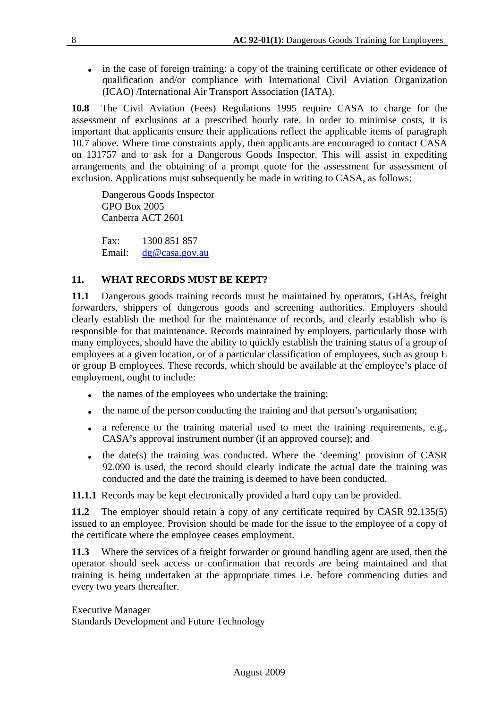• in the case of foreign training: a copy of the training certificate or other evidence of qualification and/or compliance with International Civil Aviation Organization (ICAO) /International Air Transport Association (IATA).

**10.8** The Civil Aviation (Fees) Regulations 1995 require CASA to charge for the assessment of exclusions at a prescribed hourly rate. In order to minimise costs, it is important that applicants ensure their applications reflect the applicable items of paragraph 10.7 above. Where time constraints apply, then applicants are encouraged to contact CASA on 131757 and to ask for a Dangerous Goods Inspector. This will assist in expediting arrangements and the obtaining of a prompt quote for the assessment for assessment of exclusion. Applications must subsequently be made in writing to CASA, as follows:

Dangerous Goods Inspector GPO Box 2005 Canberra ACT 2601

Fax: 1300 851 857 Email: dg@casa.gov.au

### **11. WHAT RECORDS MUST BE KEPT?**

**11.1** Dangerous goods training records must be maintained by operators, GHAs, freight forwarders, shippers of dangerous goods and screening authorities. Employers should clearly establish the method for the maintenance of records, and clearly establish who is responsible for that maintenance. Records maintained by employers, particularly those with many employees, should have the ability to quickly establish the training status of a group of employees at a given location, or of a particular classification of employees, such as group E or group B employees. These records, which should be available at the employee's place of employment, ought to include:

- the names of the employees who undertake the training;
- the name of the person conducting the training and that person's organisation;
- a reference to the training material used to meet the training requirements, e.g., CASA's approval instrument number (if an approved course); and
- $\bullet$  the date(s) the training was conducted. Where the 'deeming' provision of CASR 92.090 is used, the record should clearly indicate the actual date the training was conducted and the date the training is deemed to have been conducted.

**11.1.1** Records may be kept electronically provided a hard copy can be provided.

**11.2** The employer should retain a copy of any certificate required by CASR 92.135(5) issued to an employee. Provision should be made for the issue to the employee of a copy of the certificate where the employee ceases employment.

**11.3** Where the services of a freight forwarder or ground handling agent are used, then the operator should seek access or confirmation that records are being maintained and that training is being undertaken at the appropriate times i.e. before commencing duties and every two years thereafter.

Executive Manager Standards Development and Future Technology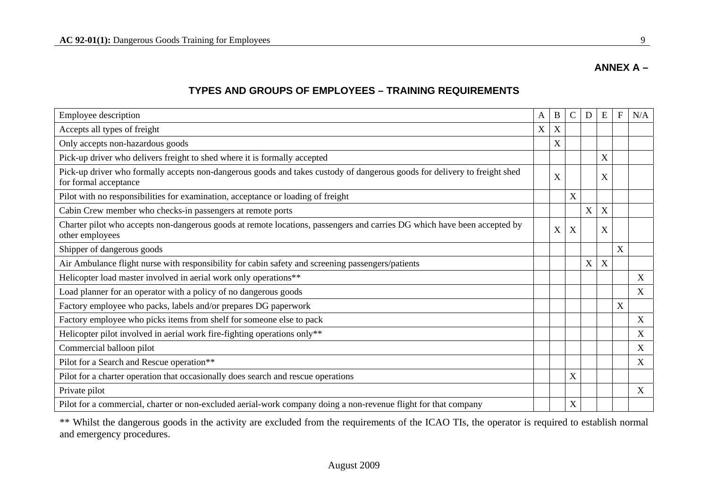# **ANNEX A –**

# **TYPES AND GROUPS OF EMPLOYEES – TRAINING REQUIREMENTS**

| Employee description                                                                                                                               |  | B | $\mathcal{C}$ | D | E | F | N/A |
|----------------------------------------------------------------------------------------------------------------------------------------------------|--|---|---------------|---|---|---|-----|
| Accepts all types of freight                                                                                                                       |  | X |               |   |   |   |     |
| Only accepts non-hazardous goods                                                                                                                   |  | X |               |   |   |   |     |
| Pick-up driver who delivers freight to shed where it is formally accepted                                                                          |  |   |               |   | X |   |     |
| Pick-up driver who formally accepts non-dangerous goods and takes custody of dangerous goods for delivery to freight shed<br>for formal acceptance |  | X |               |   | X |   |     |
| Pilot with no responsibilities for examination, acceptance or loading of freight                                                                   |  |   | X             |   |   |   |     |
| Cabin Crew member who checks-in passengers at remote ports                                                                                         |  |   |               | X | X |   |     |
| Charter pilot who accepts non-dangerous goods at remote locations, passengers and carries DG which have been accepted by<br>other employees        |  | X | X             |   | X |   |     |
| Shipper of dangerous goods                                                                                                                         |  |   |               |   |   | X |     |
| Air Ambulance flight nurse with responsibility for cabin safety and screening passengers/patients                                                  |  |   |               | X | X |   |     |
| Helicopter load master involved in aerial work only operations**                                                                                   |  |   |               |   |   |   | X   |
| Load planner for an operator with a policy of no dangerous goods                                                                                   |  |   |               |   |   |   | X   |
| Factory employee who packs, labels and/or prepares DG paperwork                                                                                    |  |   |               |   |   | X |     |
| Factory employee who picks items from shelf for someone else to pack                                                                               |  |   |               |   |   |   | X   |
| Helicopter pilot involved in aerial work fire-fighting operations only**                                                                           |  |   |               |   |   |   | X   |
| Commercial balloon pilot                                                                                                                           |  |   |               |   |   |   | X   |
| Pilot for a Search and Rescue operation**                                                                                                          |  |   |               |   |   |   | X   |
| Pilot for a charter operation that occasionally does search and rescue operations                                                                  |  |   | X             |   |   |   |     |
| Private pilot                                                                                                                                      |  |   |               |   |   |   | X   |
| Pilot for a commercial, charter or non-excluded aerial-work company doing a non-revenue flight for that company                                    |  |   | X             |   |   |   |     |

\*\* Whilst the dangerous goods in the activity are excluded from the requirements of the ICAO TIs, the operator is required to establish normal and emergency procedures.